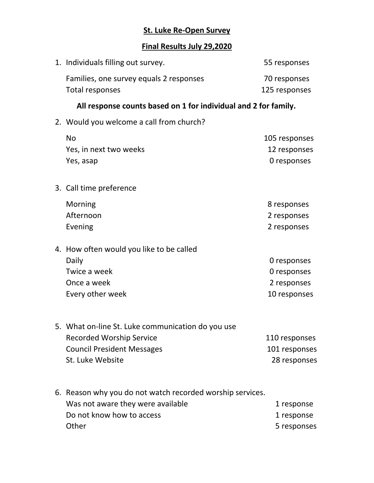## **St. Luke Re-Open Survey**

## **Final Results July 29,2020**

| 1. Individuals filling out survey.                                                                                                            | 55 responses                                              |
|-----------------------------------------------------------------------------------------------------------------------------------------------|-----------------------------------------------------------|
| Families, one survey equals 2 responses<br>Total responses                                                                                    | 70 responses<br>125 responses                             |
| All response counts based on 1 for individual and 2 for family.                                                                               |                                                           |
| 2. Would you welcome a call from church?                                                                                                      |                                                           |
| <b>No</b><br>Yes, in next two weeks<br>Yes, asap                                                                                              | 105 responses<br>12 responses<br>0 responses              |
| 3. Call time preference                                                                                                                       |                                                           |
| Morning<br>Afternoon<br>Evening                                                                                                               | 8 responses<br>2 responses<br>2 responses                 |
| 4. How often would you like to be called<br>Daily<br>Twice a week<br>Once a week<br>Every other week                                          | 0 responses<br>0 responses<br>2 responses<br>10 responses |
| 5. What on-line St. Luke communication do you use<br><b>Recorded Worship Service</b><br><b>Council President Messages</b><br>St. Luke Website | 110 responses<br>101 responses<br>28 responses            |
| 6. Reason why you do not watch recorded worship services.<br>Was not aware they were available<br>Do not know how to access<br>Other          | 1 response<br>1 response<br>5 responses                   |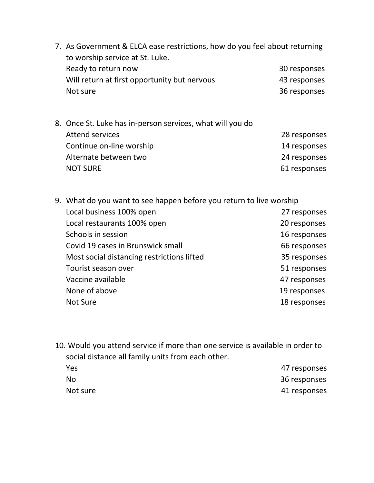- 7. As Government & ELCA ease restrictions, how do you feel about returning to worship service at St. Luke. Ready to return now and the set of the set of the set of the set of the set of the set of the set of the set o Will return at first opportunity but nervous 43 responses Not sure 36 responses
- 8. Once St. Luke has in-person services, what will you do Attend services **28 responses** Continue on-line worship 14 responses Alternate between two 24 responses NOT SURE 61 responses
- 9. What do you want to see happen before you return to live worship Local business 100% open 27 responses Local restaurants 100% open 20 responses Schools in session and the set of the set of the set of the set of the set of the set of the set of the set of the set of the set of the set of the set of the set of the set of the set of the set of the set of the set of t Covid 19 cases in Brunswick small 66 responses Most social distancing restrictions lifted 35 responses Tourist season over **1988** Tourist season over Vaccine available **47** responses None of above 19 responses Not Sure 18 responses
- 10. Would you attend service if more than one service is available in order to social distance all family units from each other. Yes 47 responses No 36 responses Not sure 41 responses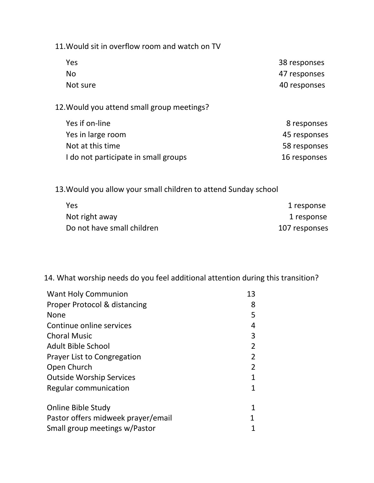11.Would sit in overflow room and watch on TV

| Yes       | 38 responses |
|-----------|--------------|
| <b>No</b> | 47 responses |
| Not sure  | 40 responses |

12.Would you attend small group meetings?

| Yes if on-line                       | 8 responses  |
|--------------------------------------|--------------|
| Yes in large room                    | 45 responses |
| Not at this time                     | 58 responses |
| I do not participate in small groups | 16 responses |

13.Would you allow your small children to attend Sunday school

| Yes                        | 1 response    |
|----------------------------|---------------|
| Not right away             | 1 response    |
| Do not have small children | 107 responses |

14. What worship needs do you feel additional attention during this transition?

| <b>Want Holy Communion</b>         | 13 |
|------------------------------------|----|
| Proper Protocol & distancing       | 8  |
| None                               | 5  |
| Continue online services           | 4  |
| <b>Choral Music</b>                | 3  |
| Adult Bible School                 | 2  |
| <b>Prayer List to Congregation</b> | 2  |
| Open Church                        | 2  |
| <b>Outside Worship Services</b>    | 1  |
| Regular communication              | 1  |
| <b>Online Bible Study</b>          | 1  |
| Pastor offers midweek prayer/email | 1  |
| Small group meetings w/Pastor      |    |